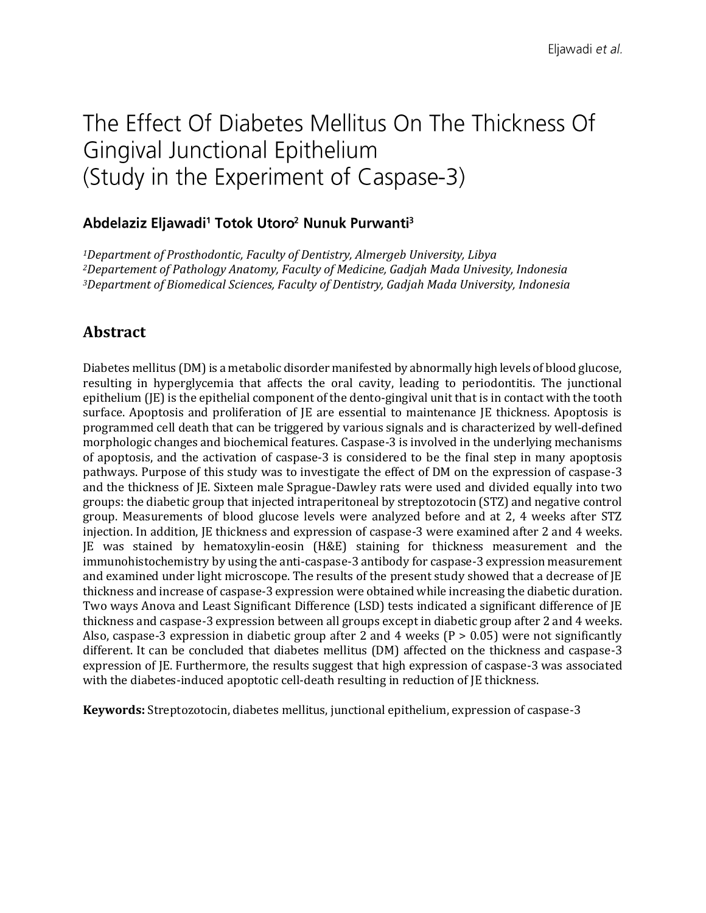# The Effect Of Diabetes Mellitus On The Thickness Of Gingival Junctional Epithelium (Study in the Experiment of Caspase-3)

#### Abdelaziz Eljawadi<sup>1</sup> Totok Utoro<sup>2</sup> Nunuk Purwanti<sup>3</sup>

*<sup>1</sup>Department of Prosthodontic, Faculty of Dentistry, Almergeb University, Libya <sup>2</sup>Departement of Pathology Anatomy, Faculty of Medicine, Gadjah Mada Univesity, Indonesia <sup>3</sup>Department of Biomedical Sciences, Faculty of Dentistry, Gadjah Mada University, Indonesia*

## **Abstract**

Diabetes mellitus (DM) is a metabolic disorder manifested by abnormally high levels of blood glucose, resulting in hyperglycemia that affects the oral cavity, leading to periodontitis. The junctional epithelium (JE) is the epithelial component of the dento-gingival unit that is in contact with the tooth surface. Apoptosis and proliferation of JE are essential to maintenance JE thickness. Apoptosis is programmed cell death that can be triggered by various signals and is characterized by well-defined morphologic changes and biochemical features. Caspase-3 is involved in the underlying mechanisms of apoptosis, and the activation of caspase-3 is considered to be the final step in many apoptosis pathways. Purpose of this study was to investigate the effect of DM on the expression of caspase-3 and the thickness of JE. Sixteen male Sprague-Dawley rats were used and divided equally into two groups: the diabetic group that injected intraperitoneal by streptozotocin (STZ) and negative control group. Measurements of blood glucose levels were analyzed before and at 2, 4 weeks after STZ injection. In addition, JE thickness and expression of caspase-3 were examined after 2 and 4 weeks. JE was stained by hematoxylin-eosin (H&E) staining for thickness measurement and the immunohistochemistry by using the anti-caspase-3 antibody for caspase-3 expression measurement and examined under light microscope. The results of the present study showed that a decrease of JE thickness and increase of caspase-3 expression were obtained while increasing the diabetic duration. Two ways Anova and Least Significant Difference (LSD) tests indicated a significant difference of JE thickness and caspase-3 expression between all groups except in diabetic group after 2 and 4 weeks. Also, caspase-3 expression in diabetic group after 2 and 4 weeks  $(P > 0.05)$  were not significantly different. It can be concluded that diabetes mellitus (DM) affected on the thickness and caspase-3 expression of JE. Furthermore, the results suggest that high expression of caspase-3 was associated with the diabetes-induced apoptotic cell-death resulting in reduction of JE thickness.

**Keywords:** Streptozotocin, diabetes mellitus, junctional epithelium, expression of caspase-3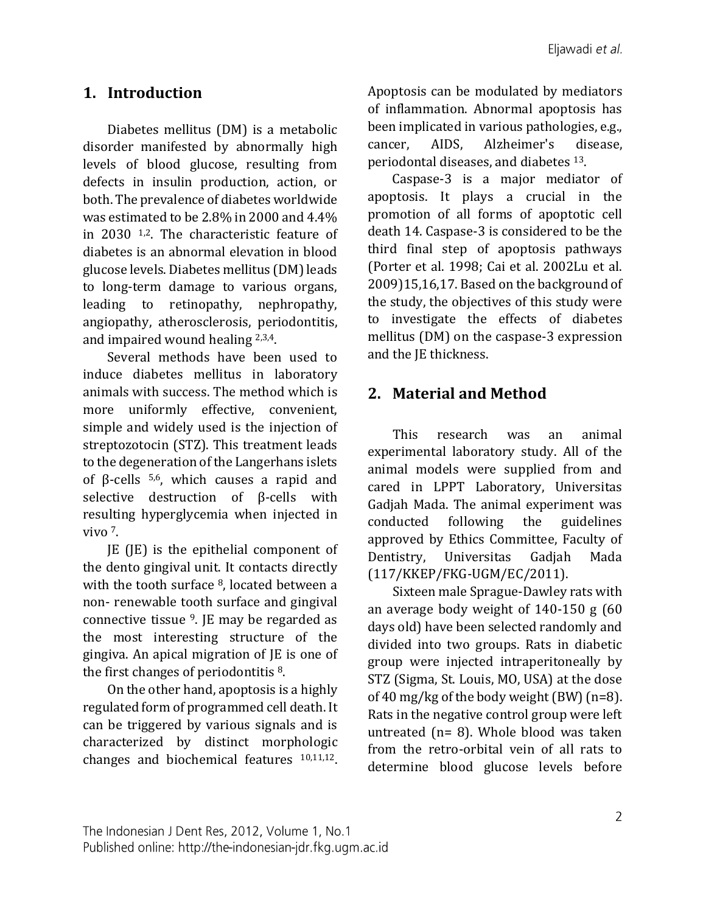## **1. Introduction**

Diabetes mellitus (DM) is a metabolic disorder manifested by abnormally high levels of blood glucose, resulting from defects in insulin production, action, or both. The prevalence of diabetes worldwide was estimated to be 2.8% in 2000 and 4.4% in 2030 1,2. The characteristic feature of diabetes is an abnormal elevation in blood glucose levels. Diabetes mellitus (DM) leads to long-term damage to various organs, leading to retinopathy, nephropathy, angiopathy, atherosclerosis, periodontitis, and impaired wound healing 2,3,4.

Several methods have been used to induce diabetes mellitus in laboratory animals with success. The method which is more uniformly effective, convenient, simple and widely used is the injection of streptozotocin (STZ). This treatment leads to the degeneration of the Langerhans islets of β-cells 5,6, which causes a rapid and selective destruction of β-cells with resulting hyperglycemia when injected in vivo 7.

JE (JE) is the epithelial component of the dento gingival unit. It contacts directly with the tooth surface <sup>8</sup>, located between a non- renewable tooth surface and gingival connective tissue 9. JE may be regarded as the most interesting structure of the gingiva. An apical migration of JE is one of the first changes of periodontitis 8.

On the other hand, apoptosis is a highly regulated form of programmed cell death. It can be triggered by various signals and is characterized by distinct morphologic changes and biochemical features 10,11,12. Apoptosis can be modulated by mediators of inflammation. Abnormal apoptosis has been implicated in various pathologies, e.g., cancer, AIDS, Alzheimer's disease, periodontal diseases, and diabetes 13.

Caspase-3 is a major mediator of apoptosis. It plays a crucial in the promotion of all forms of apoptotic cell death 14. Caspase-3 is considered to be the third final step of apoptosis pathways (Porter et al. 1998; Cai et al. 2002Lu et al. 2009)15,16,17. Based on the background of the study, the objectives of this study were to investigate the effects of diabetes mellitus (DM) on the caspase-3 expression and the JE thickness.

## **2. Material and Method**

This research was an animal experimental laboratory study. All of the animal models were supplied from and cared in LPPT Laboratory, Universitas Gadjah Mada. The animal experiment was conducted following the guidelines approved by Ethics Committee, Faculty of Dentistry, Universitas Gadjah Mada (117/KKEP/FKG-UGM/EC/2011).

Sixteen male Sprague-Dawley rats with an average body weight of 140-150 g (60 days old) have been selected randomly and divided into two groups. Rats in diabetic group were injected intraperitoneally by STZ (Sigma, St. Louis, MO, USA) at the dose of 40 mg/kg of the body weight (BW) (n=8). Rats in the negative control group were left untreated (n= 8). Whole blood was taken from the retro-orbital vein of all rats to determine blood glucose levels before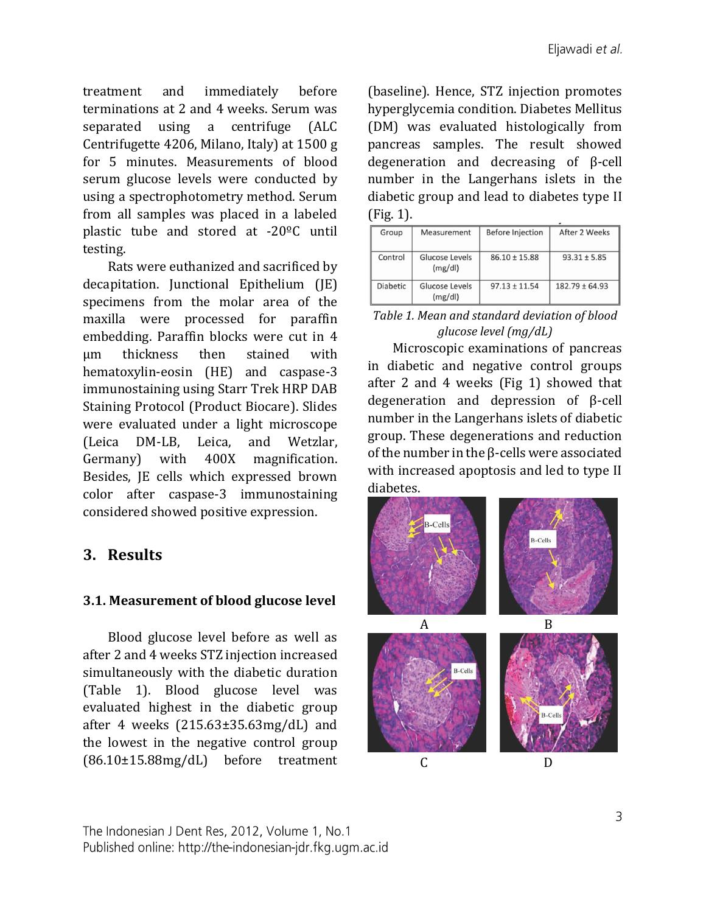treatment and immediately before terminations at 2 and 4 weeks. Serum was separated using a centrifuge (ALC Centrifugette 4206, Milano, Italy) at 1500 g for 5 minutes. Measurements of blood serum glucose levels were conducted by using a spectrophotometry method. Serum from all samples was placed in a labeled plastic tube and stored at -20ºC until testing.

Rats were euthanized and sacrificed by decapitation. Junctional Epithelium (JE) specimens from the molar area of the maxilla were processed for paraffin embedding. Paraffin blocks were cut in 4 µm thickness then stained with hematoxylin-eosin (HE) and caspase-3 immunostaining using Starr Trek HRP DAB Staining Protocol (Product Biocare). Slides were evaluated under a light microscope (Leica DM-LB, Leica, and Wetzlar, Germany) with 400X magnification. Besides, JE cells which expressed brown color after caspase-3 immunostaining considered showed positive expression.

# **3. Results**

### **3.1. Measurement of blood glucose level**

Blood glucose level before as well as after 2 and 4 weeks STZ injection increased simultaneously with the diabetic duration (Table 1). Blood glucose level was evaluated highest in the diabetic group after 4 weeks (215.63±35.63mg/dL) and the lowest in the negative control group (86.10±15.88mg/dL) before treatment (baseline). Hence, STZ injection promotes hyperglycemia condition. Diabetes Mellitus (DM) was evaluated histologically from pancreas samples. The result showed degeneration and decreasing of β-cell number in the Langerhans islets in the diabetic group and lead to diabetes type II (Fig. 1).

| Group           | Measurement               | <b>Before Injection</b> | After 2 Weeks      |
|-----------------|---------------------------|-------------------------|--------------------|
| Control         | Glucose Levels<br>(mg/dl) | $86.10 \pm 15.88$       | $93.31 \pm 5.85$   |
| <b>Diabetic</b> | Glucose Levels<br>(mg/dl) | $97.13 + 11.54$         | $182.79 \pm 64.93$ |

| Table 1. Mean and standard deviation of blood |
|-----------------------------------------------|
| glucose level $(mg/dL)$                       |

Microscopic examinations of pancreas in diabetic and negative control groups after 2 and 4 weeks (Fig 1) showed that degeneration and depression of β-cell number in the Langerhans islets of diabetic group. These degenerations and reduction of the number in the β-cells were associated with increased apoptosis and led to type II diabetes.

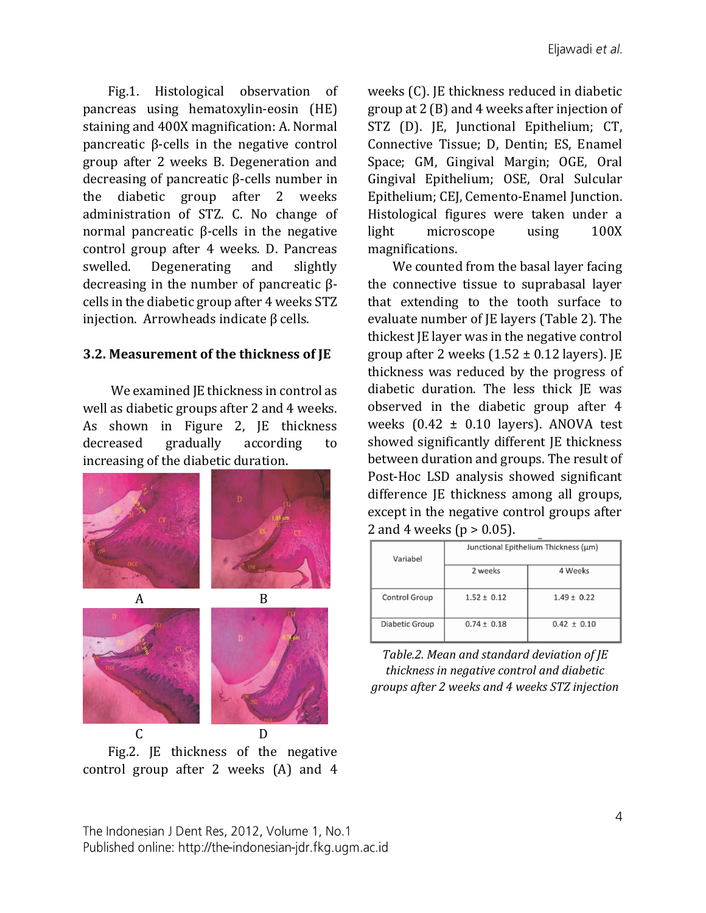Fig.1. Histological observation of pancreas using hematoxylin-eosin (HE) staining and 400X magnification: A. Normal pancreatic β-cells in the negative control group after 2 weeks B. Degeneration and decreasing of pancreatic β-cells number in the diabetic group after 2 weeks administration of STZ. C. No change of normal pancreatic β-cells in the negative control group after 4 weeks. D. Pancreas swelled. Degenerating and slightly decreasing in the number of pancreatic βcells in the diabetic group after 4 weeks STZ injection. Arrowheads indicate β cells.

#### **3.2. Measurement of the thickness of JE**

We examined JE thickness in control as well as diabetic groups after 2 and 4 weeks. As shown in Figure 2, JE thickness decreased gradually according to increasing of the diabetic duration.



Fig.2. JE thickness of the negative control group after 2 weeks (A) and 4

weeks (C). JE thickness reduced in diabetic group at 2 (B) and 4 weeks after injection of STZ (D). JE, Junctional Epithelium; CT, Connective Tissue; D, Dentin; ES, Enamel Space; GM, Gingival Margin; OGE, Oral Gingival Epithelium; OSE, Oral Sulcular Epithelium; CEJ, Cemento-Enamel Junction. Histological figures were taken under a light microscope using 100X magnifications.

We counted from the basal layer facing the connective tissue to suprabasal layer that extending to the tooth surface to evaluate number of JE layers (Table 2). The thickest JE layer was in the negative control group after 2 weeks  $(1.52 \pm 0.12$  layers). JE thickness was reduced by the progress of diabetic duration. The less thick JE was observed in the diabetic group after 4 weeks  $(0.42 \pm 0.10$  layers). ANOVA test showed significantly different JE thickness between duration and groups. The result of Post-Hoc LSD analysis showed significant difference JE thickness among all groups, except in the negative control groups after 2 and 4 weeks ( $p > 0.05$ ).

| Variabel             | Junctional Epithelium Thickness (µm) |                 |  |
|----------------------|--------------------------------------|-----------------|--|
|                      | 2 weeks                              | 4 Weeks         |  |
| <b>Control Group</b> | $1.52 \pm 0.12$                      | $1.49 \pm 0.22$ |  |
| Diabetic Group       | $0.74 \pm 0.18$                      | $0.42 \pm 0.10$ |  |

*Table.2. Mean and standard deviation of JE thickness in negative control and diabetic groups after 2 weeks and 4 weeks STZ injection*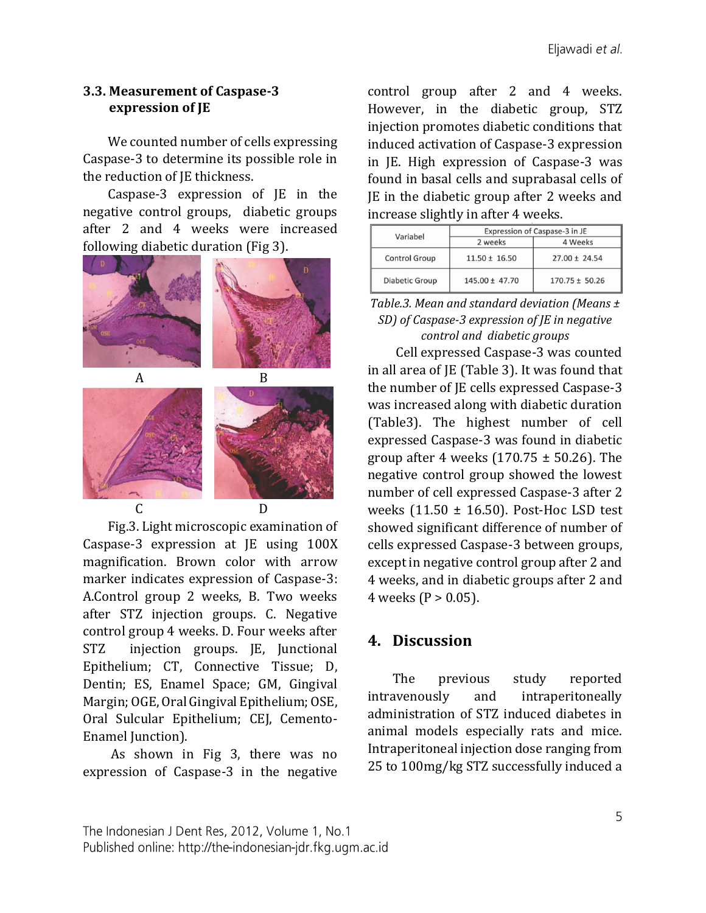#### **3.3. Measurement of Caspase-3 expression of JE**

We counted number of cells expressing Caspase-3 to determine its possible role in the reduction of JE thickness.

Caspase-3 expression of JE in the negative control groups, diabetic groups after 2 and 4 weeks were increased following diabetic duration (Fig 3).



Fig.3. Light microscopic examination of Caspase-3 expression at JE using 100X magnification. Brown color with arrow marker indicates expression of Caspase-3: A.Control group 2 weeks, B. Two weeks after STZ injection groups. C. Negative control group 4 weeks. D. Four weeks after STZ injection groups. JE, Junctional Epithelium; CT, Connective Tissue; D, Dentin; ES, Enamel Space; GM, Gingival Margin; OGE, Oral Gingival Epithelium; OSE, Oral Sulcular Epithelium; CEJ, Cemento-Enamel Junction).

As shown in Fig 3, there was no expression of Caspase-3 in the negative control group after 2 and 4 weeks. However, in the diabetic group, STZ injection promotes diabetic conditions that induced activation of Caspase-3 expression in JE. High expression of Caspase-3 was found in basal cells and suprabasal cells of JE in the diabetic group after 2 weeks and increase slightly in after 4 weeks.

| Variabel             | Expression of Caspase-3 in JE |                    |  |
|----------------------|-------------------------------|--------------------|--|
|                      | 2 weeks                       | 4 Weeks            |  |
| <b>Control Group</b> | $11.50 \pm 16.50$             | $27.00 \pm 24.54$  |  |
| Diabetic Group       | 145.00 ± 47.70                | $170.75 \pm 50.26$ |  |

#### *Table.3. Mean and standard deviation (Means ± SD) of Caspase-3 expression of JE in negative control and diabetic groups*

Cell expressed Caspase-3 was counted in all area of JE (Table 3). It was found that the number of JE cells expressed Caspase-3 was increased along with diabetic duration (Table3). The highest number of cell expressed Caspase-3 was found in diabetic group after 4 weeks  $(170.75 \pm 50.26)$ . The negative control group showed the lowest number of cell expressed Caspase-3 after 2 weeks (11.50 ± 16.50). Post-Hoc LSD test showed significant difference of number of cells expressed Caspase-3 between groups, except in negative control group after 2 and 4 weeks, and in diabetic groups after 2 and 4 weeks ( $P > 0.05$ ).

## **4. Discussion**

The previous study reported intravenously and intraperitoneally administration of STZ induced diabetes in animal models especially rats and mice. Intraperitoneal injection dose ranging from 25 to 100mg/kg STZ successfully induced a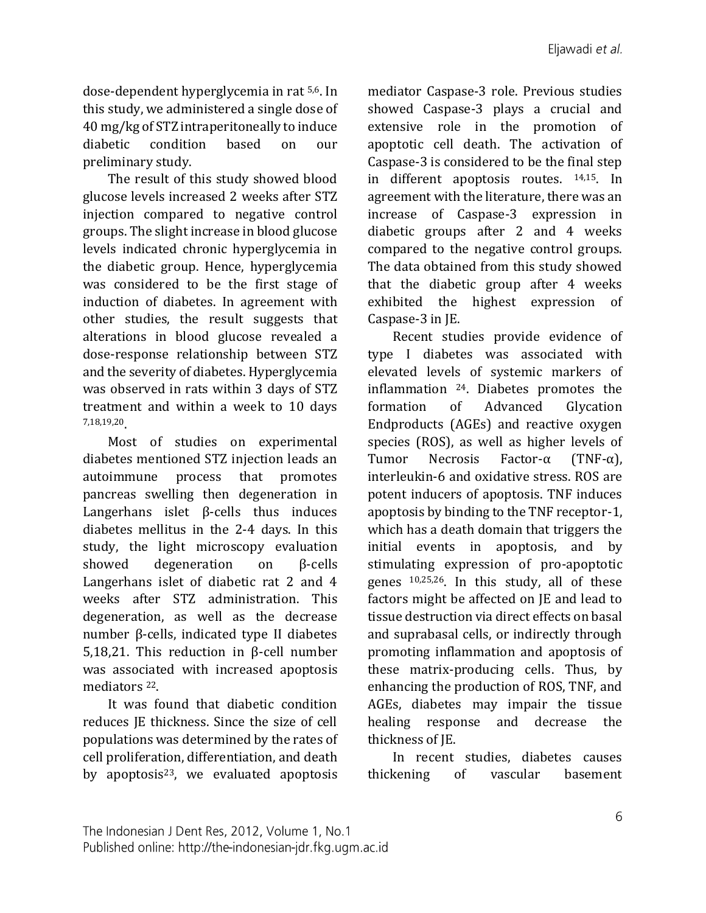dose-dependent hyperglycemia in rat 5,6. In this study, we administered a single dose of 40 mg/kg of STZ intraperitoneally to induce diabetic condition based on our preliminary study.

The result of this study showed blood glucose levels increased 2 weeks after STZ injection compared to negative control groups. The slight increase in blood glucose levels indicated chronic hyperglycemia in the diabetic group. Hence, hyperglycemia was considered to be the first stage of induction of diabetes. In agreement with other studies, the result suggests that alterations in blood glucose revealed a dose-response relationship between STZ and the severity of diabetes. Hyperglycemia was observed in rats within 3 days of STZ treatment and within a week to 10 days 7,18,19,20.

Most of studies on experimental diabetes mentioned STZ injection leads an autoimmune process that promotes pancreas swelling then degeneration in Langerhans islet β-cells thus induces diabetes mellitus in the 2-4 days. In this study, the light microscopy evaluation showed degeneration on β-cells Langerhans islet of diabetic rat 2 and 4 weeks after STZ administration. This degeneration, as well as the decrease number β-cells, indicated type II diabetes 5,18,21. This reduction in β-cell number was associated with increased apoptosis mediators 22.

It was found that diabetic condition reduces JE thickness. Since the size of cell populations was determined by the rates of cell proliferation, differentiation, and death by apoptosis $23$ , we evaluated apoptosis mediator Caspase-3 role. Previous studies showed Caspase-3 plays a crucial and extensive role in the promotion of apoptotic cell death. The activation of Caspase-3 is considered to be the final step in different apoptosis routes. 14,15. In agreement with the literature, there was an increase of Caspase-3 expression in diabetic groups after 2 and 4 weeks compared to the negative control groups. The data obtained from this study showed that the diabetic group after 4 weeks exhibited the highest expression of Caspase-3 in JE.

Recent studies provide evidence of type I diabetes was associated with elevated levels of systemic markers of inflammation 24. Diabetes promotes the formation of Advanced Glycation Endproducts (AGEs) and reactive oxygen species (ROS), as well as higher levels of Tumor Necrosis Factor-α (TNF-α), interleukin-6 and oxidative stress. ROS are potent inducers of apoptosis. TNF induces apoptosis by binding to the TNF receptor-1, which has a death domain that triggers the initial events in apoptosis, and by stimulating expression of pro-apoptotic genes 10,25,26. In this study, all of these factors might be affected on JE and lead to tissue destruction via direct effects on basal and suprabasal cells, or indirectly through promoting inflammation and apoptosis of these matrix-producing cells. Thus, by enhancing the production of ROS, TNF, and AGEs, diabetes may impair the tissue healing response and decrease the thickness of JE.

In recent studies, diabetes causes thickening of vascular basement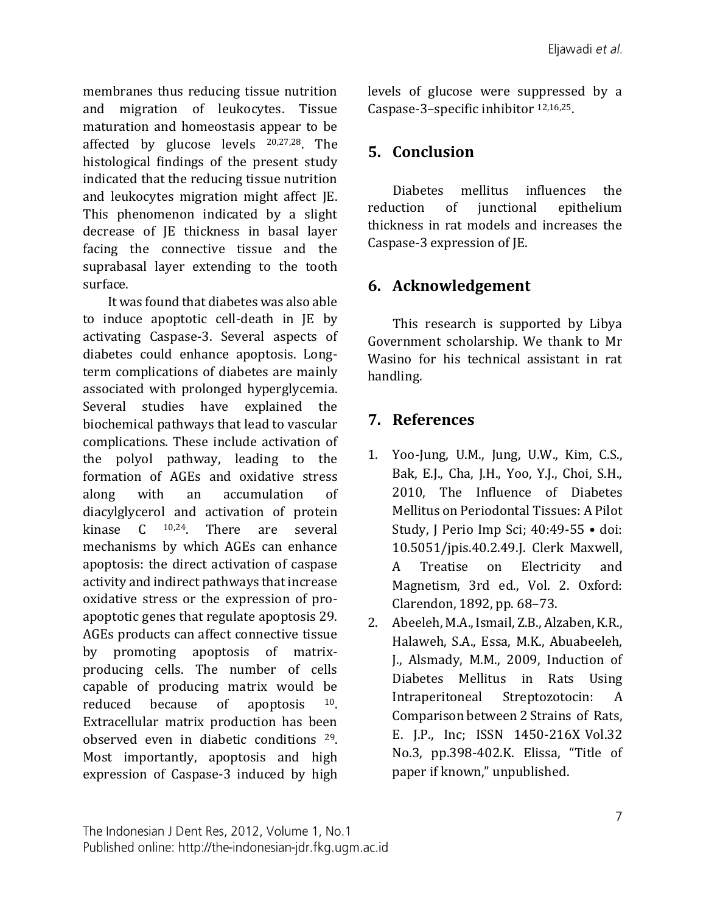membranes thus reducing tissue nutrition and migration of leukocytes. Tissue maturation and homeostasis appear to be affected by glucose levels 20,27,28. The histological findings of the present study indicated that the reducing tissue nutrition and leukocytes migration might affect JE. This phenomenon indicated by a slight decrease of JE thickness in basal layer facing the connective tissue and the suprabasal layer extending to the tooth surface.

It was found that diabetes was also able to induce apoptotic cell-death in JE by activating Caspase-3. Several aspects of diabetes could enhance apoptosis. Longterm complications of diabetes are mainly associated with prolonged hyperglycemia. Several studies have explained the biochemical pathways that lead to vascular complications. These include activation of the polyol pathway, leading to the formation of AGEs and oxidative stress along with an accumulation of diacylglycerol and activation of protein kinase C 10,24. There are several mechanisms by which AGEs can enhance apoptosis: the direct activation of caspase activity and indirect pathways that increase oxidative stress or the expression of proapoptotic genes that regulate apoptosis 29. AGEs products can affect connective tissue by promoting apoptosis of matrixproducing cells. The number of cells capable of producing matrix would be reduced because of apoptosis 10. Extracellular matrix production has been observed even in diabetic conditions 29. Most importantly, apoptosis and high expression of Caspase-3 induced by high

levels of glucose were suppressed by a Caspase-3–specific inhibitor 12,16,25.

# **5. Conclusion**

Diabetes mellitus influences the reduction of junctional epithelium thickness in rat models and increases the Caspase-3 expression of JE.

## **6. Acknowledgement**

This research is supported by Libya Government scholarship. We thank to Mr Wasino for his technical assistant in rat handling.

# **7. References**

- 1. Yoo-Jung, U.M., Jung, U.W., Kim, C.S., Bak, E.J., Cha, J.H., Yoo, Y.J., Choi, S.H., 2010, The Influence of Diabetes Mellitus on Periodontal Tissues: A Pilot Study, J Perio Imp Sci; 40:49-55 • doi: 10.5051/jpis.40.2.49.J. Clerk Maxwell, A Treatise on Electricity and Magnetism, 3rd ed., Vol. 2. Oxford: Clarendon, 1892, pp. 68–73.
- 2. Abeeleh, M.A., Ismail, Z.B., Alzaben, K.R., Halaweh, S.A., Essa, M.K., Abuabeeleh, J., Alsmady, M.M., 2009, Induction of Diabetes Mellitus in Rats Using Intraperitoneal Streptozotocin: A Comparison between 2 Strains of Rats, E. J.P., Inc; ISSN 1450-216X Vol.32 No.3, pp.398-402.K. Elissa, "Title of paper if known," unpublished.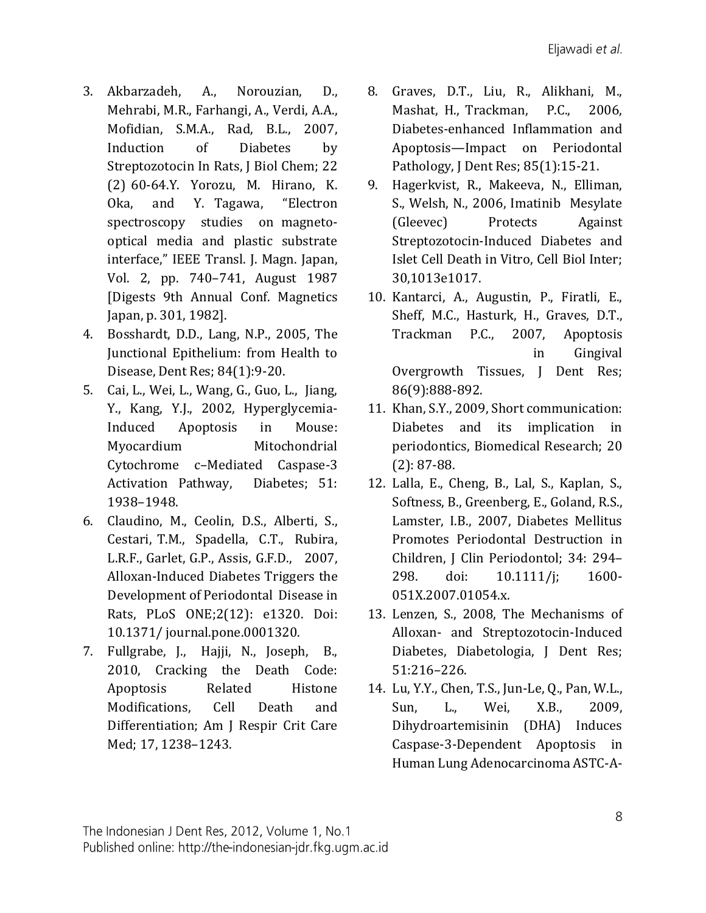- 3. Akbarzadeh, A., Norouzian, D., Mehrabi, M.R., Farhangi, A., Verdi, A.A., Mofidian, S.M.A., Rad, B.L., 2007, Induction of Diabetes by Streptozotocin In Rats, J Biol Chem; 22 (2) 60-64.Y. Yorozu, M. Hirano, K. Oka, and Y. Tagawa, "Electron spectroscopy studies on magnetooptical media and plastic substrate interface," IEEE Transl. J. Magn. Japan, Vol. 2, pp. 740–741, August 1987 [Digests 9th Annual Conf. Magnetics Japan, p. 301, 1982].
- 4. Bosshardt, D.D., Lang, N.P., 2005, The Junctional Epithelium: from Health to Disease, Dent Res; 84(1):9-20.
- 5. Cai, L., Wei, L., Wang, G., Guo, L., Jiang, Y., Kang, Y.J., 2002, Hyperglycemia-Induced Apoptosis in Mouse: Myocardium Mitochondrial Cytochrome c–Mediated Caspase-3 Activation Pathway, Diabetes; 51: 1938–1948.
- 6. Claudino, M., Ceolin, D.S., Alberti, S., Cestari, T.M., Spadella, C.T., Rubira, L.R.F., Garlet, G.P., Assis, G.F.D., 2007, Alloxan-Induced Diabetes Triggers the Development of Periodontal Disease in Rats, PLoS ONE;2(12): e1320. Doi: 10.1371/ journal.pone.0001320.
- 7. Fullgrabe, J., Hajji, N., Joseph, B., 2010, Cracking the Death Code: Apoptosis Related Histone Modifications, Cell Death and Differentiation; Am J Respir Crit Care Med; 17, 1238–1243.
- 8. Graves, D.T., Liu, R., Alikhani, M., Mashat, H., Trackman, P.C., 2006, Diabetes-enhanced Inflammation and Apoptosis—Impact on Periodontal Pathology, J Dent Res; 85(1):15-21.
- 9. Hagerkvist, R., Makeeva, N., Elliman, S., Welsh, N., 2006, Imatinib Mesylate (Gleevec) Protects Against Streptozotocin-Induced Diabetes and Islet Cell Death in Vitro, Cell Biol Inter; 30,1013e1017.
- 10. Kantarci, A., Augustin, P., Firatli, E., Sheff, M.C., Hasturk, H., Graves, D.T., Trackman P.C., 2007, Apoptosis in Gingival Overgrowth Tissues, J Dent Res; 86(9):888-892.
- 11. Khan, S.Y., 2009, Short communication: Diabetes and its implication in periodontics, Biomedical Research; 20 (2): 87-88.
- 12. Lalla, E., Cheng, B., Lal, S., Kaplan, S., Softness, B., Greenberg, E., Goland, R.S., Lamster, I.B., 2007, Diabetes Mellitus Promotes Periodontal Destruction in Children, J Clin Periodontol; 34: 294– 298. doi: 10.1111/j; 1600- 051X.2007.01054.x.
- 13. Lenzen, S., 2008, The Mechanisms of Alloxan- and Streptozotocin-Induced Diabetes, Diabetologia, J Dent Res; 51:216–226.
- 14. Lu, Y.Y., Chen, T.S., Jun-Le, Q., Pan, W.L., Sun, L., Wei, X.B., 2009, Dihydroartemisinin (DHA) Induces Caspase-3-Dependent Apoptosis in Human Lung Adenocarcinoma ASTC-A-